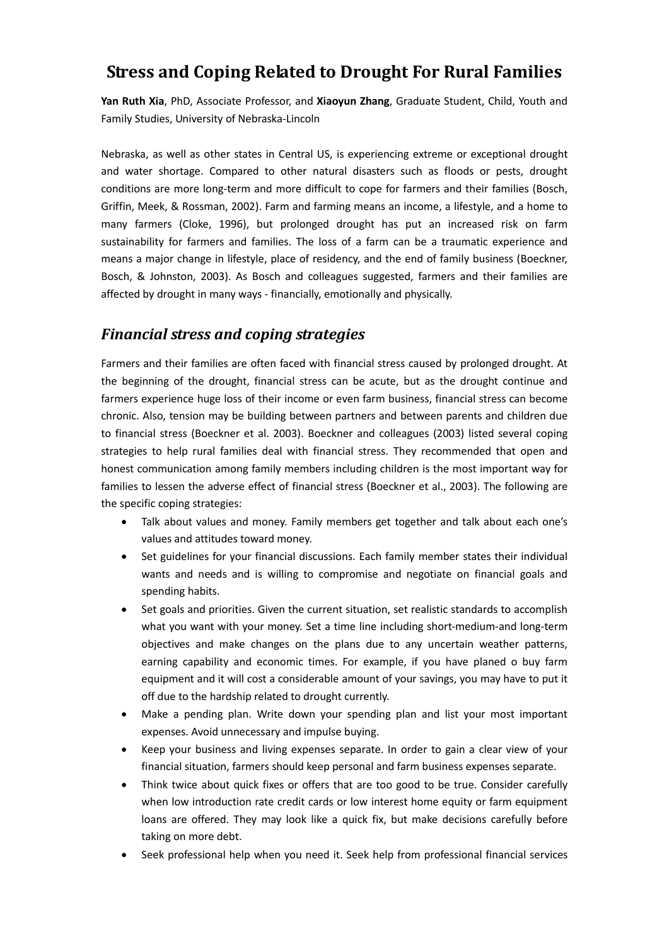# **Stress and Coping Related to Drought For Rural Families**

**Yan Ruth Xia**, PhD, Associate Professor, and **Xiaoyun Zhang**, Graduate Student, Child, Youth and Family Studies, University of Nebraska-Lincoln

Nebraska, as well as other states in Central US, is experiencing extreme or exceptional drought and water shortage. Compared to other natural disasters such as floods or pests, drought conditions are more long-term and more difficult to cope for farmers and their families (Bosch, Griffin, Meek, & Rossman, 2002). Farm and farming means an income, a lifestyle, and a home to many farmers (Cloke, 1996), but prolonged drought has put an increased risk on farm sustainability for farmers and families. The loss of a farm can be a traumatic experience and means a major change in lifestyle, place of residency, and the end of family business (Boeckner, Bosch, & Johnston, 2003). As Bosch and colleagues suggested, farmers and their families are affected by drought in many ways - financially, emotionally and physically.

## *Financial stress and coping strategies*

Farmers and their families are often faced with financial stress caused by prolonged drought. At the beginning of the drought, financial stress can be acute, but as the drought continue and farmers experience huge loss of their income or even farm business, financial stress can become chronic. Also, tension may be building between partners and between parents and children due to financial stress (Boeckner et al. 2003). Boeckner and colleagues (2003) listed several coping strategies to help rural families deal with financial stress. They recommended that open and honest communication among family members including children is the most important way for families to lessen the adverse effect of financial stress (Boeckner et al., 2003). The following are the specific coping strategies:

- Talk about values and money. Family members get together and talk about each one's values and attitudes toward money.
- Set guidelines for your financial discussions. Each family member states their individual wants and needs and is willing to compromise and negotiate on financial goals and spending habits.
- Set goals and priorities. Given the current situation, set realistic standards to accomplish what you want with your money. Set a time line including short-medium-and long-term objectives and make changes on the plans due to any uncertain weather patterns, earning capability and economic times. For example, if you have planed o buy farm equipment and it will cost a considerable amount of your savings, you may have to put it off due to the hardship related to drought currently.
- Make a pending plan. Write down your spending plan and list your most important expenses. Avoid unnecessary and impulse buying.
- Keep your business and living expenses separate. In order to gain a clear view of your financial situation, farmers should keep personal and farm business expenses separate.
- Think twice about quick fixes or offers that are too good to be true. Consider carefully when low introduction rate credit cards or low interest home equity or farm equipment loans are offered. They may look like a quick fix, but make decisions carefully before taking on more debt.
- Seek professional help when you need it. Seek help from professional financial services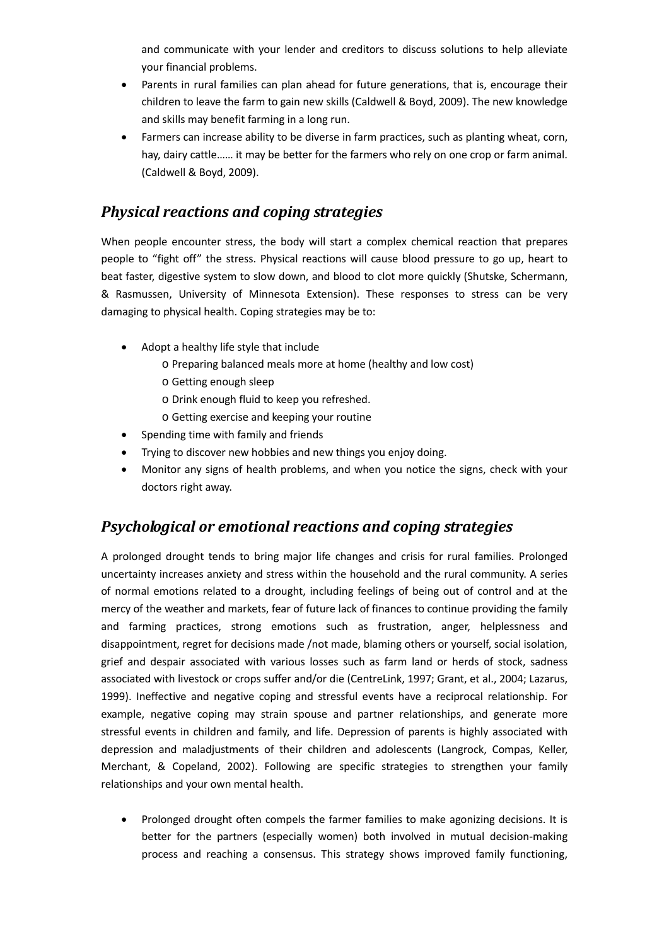and communicate with your lender and creditors to discuss solutions to help alleviate your financial problems.

- Parents in rural families can plan ahead for future generations, that is, encourage their children to leave the farm to gain new skills (Caldwell & Boyd, 2009). The new knowledge and skills may benefit farming in a long run.
- Farmers can increase ability to be diverse in farm practices, such as planting wheat, corn, hay, dairy cattle…… it may be better for the farmers who rely on one crop or farm animal. (Caldwell & Boyd, 2009).

# *Physical reactions and coping strategies*

When people encounter stress, the body will start a complex chemical reaction that prepares people to "fight off" the stress. Physical reactions will cause blood pressure to go up, heart to beat faster, digestive system to slow down, and blood to clot more quickly (Shutske, Schermann, & Rasmussen, University of Minnesota Extension). These responses to stress can be very damaging to physical health. Coping strategies may be to:

- Adopt a healthy life style that include
	- o Preparing balanced meals more at home (healthy and low cost)
	- o Getting enough sleep
	- o Drink enough fluid to keep you refreshed.
	- o Getting exercise and keeping your routine
- Spending time with family and friends
- Trying to discover new hobbies and new things you enjoy doing.
- Monitor any signs of health problems, and when you notice the signs, check with your doctors right away.

## *Psychological or emotional reactions and coping strategies*

A prolonged drought tends to bring major life changes and crisis for rural families. Prolonged uncertainty increases anxiety and stress within the household and the rural community. A series of normal emotions related to a drought, including feelings of being out of control and at the mercy of the weather and markets, fear of future lack of finances to continue providing the family and farming practices, strong emotions such as frustration, anger, helplessness and disappointment, regret for decisions made /not made, blaming others or yourself, social isolation, grief and despair associated with various losses such as farm land or herds of stock, sadness associated with livestock or crops suffer and/or die (CentreLink, 1997; Grant, et al., 2004; Lazarus, 1999). Ineffective and negative coping and stressful events have a reciprocal relationship. For example, negative coping may strain spouse and partner relationships, and generate more stressful events in children and family, and life. Depression of parents is highly associated with depression and maladjustments of their children and adolescents (Langrock, Compas, Keller, Merchant, & Copeland, 2002). Following are specific strategies to strengthen your family relationships and your own mental health.

• Prolonged drought often compels the farmer families to make agonizing decisions. It is better for the partners (especially women) both involved in mutual decision-making process and reaching a consensus. This strategy shows improved family functioning,